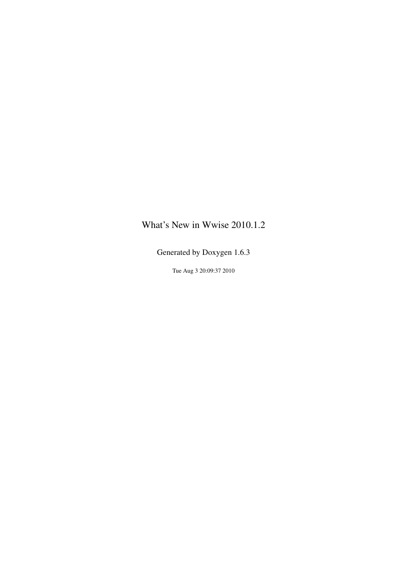## <span id="page-0-0"></span>What's New in Wwise 2010.1.2

Generated by Doxygen 1.6.3

Tue Aug 3 20:09:37 2010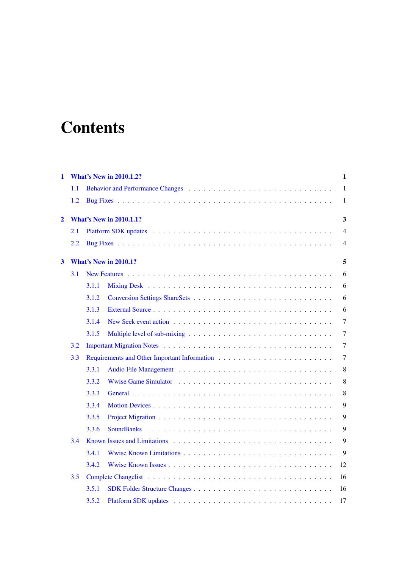# **Contents**

| $\mathbf{1}$            |     |       | <b>What's New in 2010.1.2?</b> | 1              |
|-------------------------|-----|-------|--------------------------------|----------------|
|                         | 1.1 |       |                                | $\mathbf{1}$   |
|                         | 1.2 |       |                                | 1              |
| $\overline{2}$          |     |       | <b>What's New in 2010.1.1?</b> | 3              |
|                         | 2.1 |       |                                | $\overline{4}$ |
|                         | 2.2 |       |                                | $\overline{4}$ |
| $\overline{\mathbf{3}}$ |     |       | <b>What's New in 2010.1?</b>   | 5              |
|                         | 3.1 |       |                                | 6              |
|                         |     | 3.1.1 |                                | 6              |
|                         |     | 3.1.2 |                                | 6              |
|                         |     | 3.1.3 |                                | 6              |
|                         |     | 3.1.4 |                                | $\overline{7}$ |
|                         |     | 3.1.5 |                                | $\overline{7}$ |
|                         | 3.2 |       |                                | 7              |
|                         | 3.3 |       |                                | 7              |
|                         |     | 3.3.1 |                                | 8              |
|                         |     | 3.3.2 |                                | 8              |
|                         |     | 3.3.3 |                                | $\,8\,$        |
|                         |     | 3.3.4 |                                | 9              |
|                         |     | 3.3.5 |                                | 9              |
|                         |     | 3.3.6 |                                | 9              |
|                         | 3.4 |       |                                | 9              |
|                         |     | 3.4.1 |                                | 9              |
|                         |     | 3.4.2 |                                | 12             |
|                         | 3.5 |       |                                | 16             |
|                         |     | 3.5.1 |                                | 16             |
|                         |     | 3.5.2 |                                | 17             |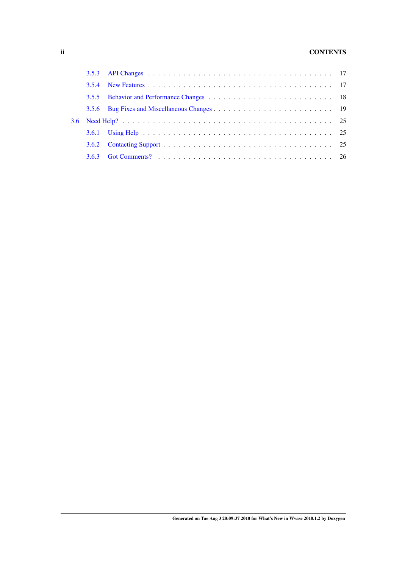## ii CONTENTS

| 3.5.5 |  |
|-------|--|
|       |  |
|       |  |
|       |  |
|       |  |
| 3.6.2 |  |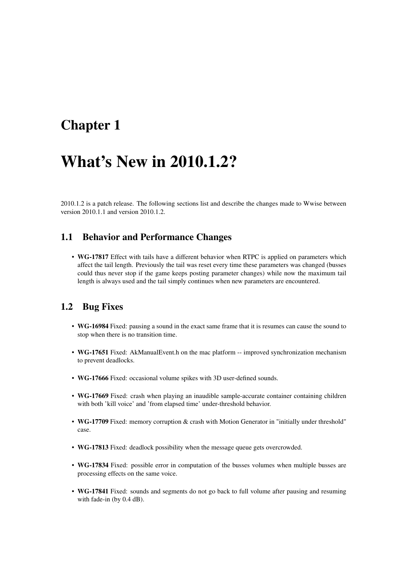## <span id="page-4-0"></span>Chapter 1

## What's New in 2010.1.2?

2010.1.2 is a patch release. The following sections list and describe the changes made to Wwise between version 2010.1.1 and version 2010.1.2.

## <span id="page-4-1"></span>1.1 Behavior and Performance Changes

• WG-17817 Effect with tails have a different behavior when RTPC is applied on parameters which affect the tail length. Previously the tail was reset every time these parameters was changed (busses could thus never stop if the game keeps posting parameter changes) while now the maximum tail length is always used and the tail simply continues when new parameters are encountered.

## <span id="page-4-2"></span>1.2 Bug Fixes

- WG-16984 Fixed: pausing a sound in the exact same frame that it is resumes can cause the sound to stop when there is no transition time.
- WG-17651 Fixed: AkManualEvent.h on the mac platform -- improved synchronization mechanism to prevent deadlocks.
- WG-17666 Fixed: occasional volume spikes with 3D user-defined sounds.
- WG-17669 Fixed: crash when playing an inaudible sample-accurate container containing children with both 'kill voice' and 'from elapsed time' under-threshold behavior.
- WG-17709 Fixed: memory corruption & crash with Motion Generator in "initially under threshold" case.
- WG-17813 Fixed: deadlock possibility when the message queue gets overcrowded.
- WG-17834 Fixed: possible error in computation of the busses volumes when multiple busses are processing effects on the same voice.
- WG-17841 Fixed: sounds and segments do not go back to full volume after pausing and resuming with fade-in (by 0.4 dB).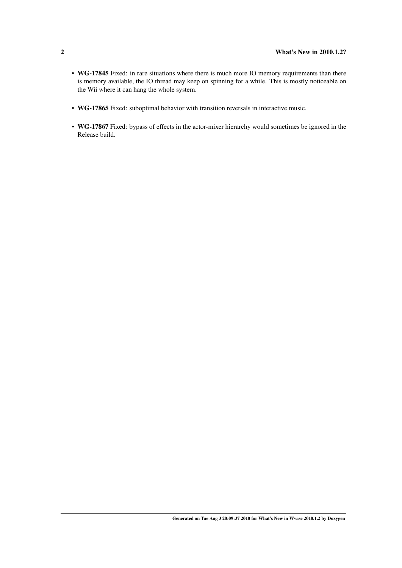- WG-17845 Fixed: in rare situations where there is much more IO memory requirements than there is memory available, the IO thread may keep on spinning for a while. This is mostly noticeable on the Wii where it can hang the whole system.
- WG-17865 Fixed: suboptimal behavior with transition reversals in interactive music.
- WG-17867 Fixed: bypass of effects in the actor-mixer hierarchy would sometimes be ignored in the Release build.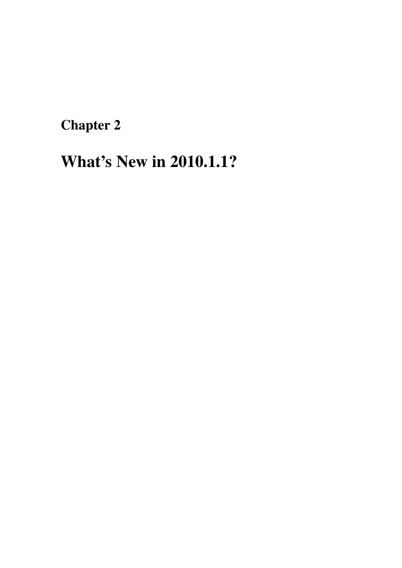<span id="page-6-0"></span>Chapter 2

# What's New in 2010.1.1?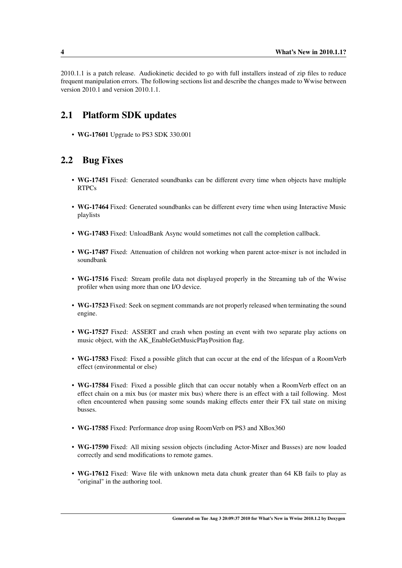2010.1.1 is a patch release. Audiokinetic decided to go with full installers instead of zip files to reduce frequent manipulation errors. The following sections list and describe the changes made to Wwise between version 2010.1 and version 2010.1.1.

## <span id="page-7-0"></span>2.1 Platform SDK updates

• WG-17601 Upgrade to PS3 SDK 330.001

## <span id="page-7-1"></span>2.2 Bug Fixes

- WG-17451 Fixed: Generated soundbanks can be different every time when objects have multiple RTPCs
- WG-17464 Fixed: Generated soundbanks can be different every time when using Interactive Music playlists
- WG-17483 Fixed: UnloadBank Async would sometimes not call the completion callback.
- WG-17487 Fixed: Attenuation of children not working when parent actor-mixer is not included in soundbank
- WG-17516 Fixed: Stream profile data not displayed properly in the Streaming tab of the Wwise profiler when using more than one I/O device.
- WG-17523 Fixed: Seek on segment commands are not properly released when terminating the sound engine.
- WG-17527 Fixed: ASSERT and crash when posting an event with two separate play actions on music object, with the AK\_EnableGetMusicPlayPosition flag.
- WG-17583 Fixed: Fixed a possible glitch that can occur at the end of the lifespan of a RoomVerb effect (environmental or else)
- WG-17584 Fixed: Fixed a possible glitch that can occur notably when a RoomVerb effect on an effect chain on a mix bus (or master mix bus) where there is an effect with a tail following. Most often encountered when pausing some sounds making effects enter their FX tail state on mixing busses.
- WG-17585 Fixed: Performance drop using RoomVerb on PS3 and XBox360
- WG-17590 Fixed: All mixing session objects (including Actor-Mixer and Busses) are now loaded correctly and send modifications to remote games.
- WG-17612 Fixed: Wave file with unknown meta data chunk greater than 64 KB fails to play as "original" in the authoring tool.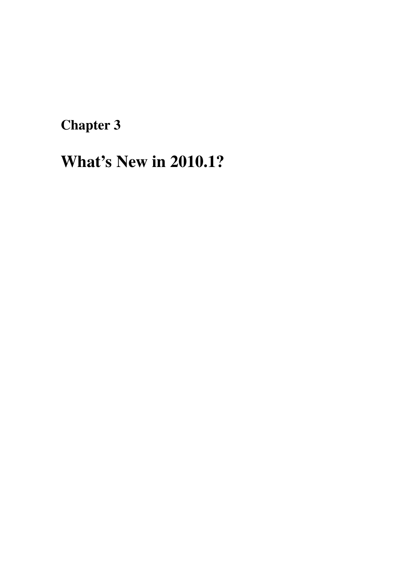<span id="page-8-0"></span>Chapter 3

# What's New in 2010.1?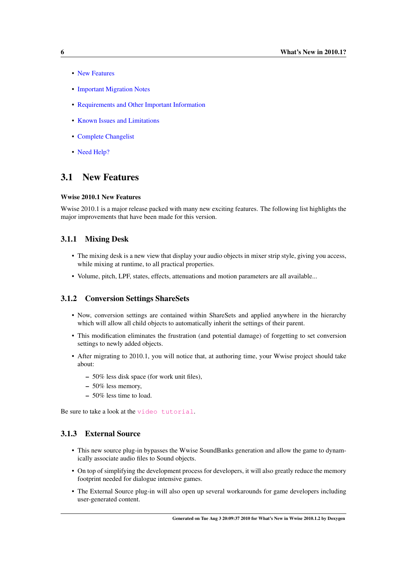- [New Features](#page-0-0)
- [Important Migration Notes](#page-0-0)
- [Requirements and Other Important Information](#page-0-0)
- [Known Issues and Limitations](#page-0-0)
- [Complete Changelist](#page-0-0)
- [Need Help?](#page-0-0)

## <span id="page-9-0"></span>3.1 New Features

#### Wwise 2010.1 New Features

Wwise 2010.1 is a major release packed with many new exciting features. The following list highlights the major improvements that have been made for this version.

#### <span id="page-9-1"></span>3.1.1 Mixing Desk

- The mixing desk is a new view that display your audio objects in mixer strip style, giving you access, while mixing at runtime, to all practical properties.
- Volume, pitch, LPF, states, effects, attenuations and motion parameters are all available...

#### <span id="page-9-2"></span>3.1.2 Conversion Settings ShareSets

- Now, conversion settings are contained within ShareSets and applied anywhere in the hierarchy which will allow all child objects to automatically inherit the settings of their parent.
- This modification eliminates the frustration (and potential damage) of forgetting to set conversion settings to newly added objects.
- After migrating to 2010.1, you will notice that, at authoring time, your Wwise project should take about:
	- 50% less disk space (for work unit files),
	- 50% less memory,
	- 50% less time to load.

Be sure to take a look at the [video tutorial](http://www.audiokinetic.com/video/video.php?target=tutorials/Wwise/21).

#### <span id="page-9-3"></span>3.1.3 External Source

- This new source plug-in bypasses the Wwise SoundBanks generation and allow the game to dynamically associate audio files to Sound objects.
- On top of simplifying the development process for developers, it will also greatly reduce the memory footprint needed for dialogue intensive games.
- The External Source plug-in will also open up several workarounds for game developers including user-generated content.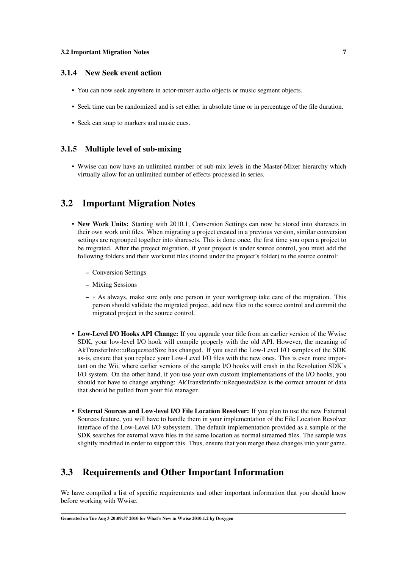#### <span id="page-10-0"></span>3.1.4 New Seek event action

- You can now seek anywhere in actor-mixer audio objects or music segment objects.
- Seek time can be randomized and is set either in absolute time or in percentage of the file duration.
- Seek can snap to markers and music cues.

#### <span id="page-10-1"></span>3.1.5 Multiple level of sub-mixing

• Wwise can now have an unlimited number of sub-mix levels in the Master-Mixer hierarchy which virtually allow for an unlimited number of effects processed in series.

## <span id="page-10-2"></span>3.2 Important Migration Notes

- New Work Units: Starting with 2010.1, Conversion Settings can now be stored into sharesets in their own work unit files. When migrating a project created in a previous version, similar conversion settings are regrouped together into sharesets. This is done once, the first time you open a project to be migrated. After the project migration, if your project is under source control, you must add the following folders and their workunit files (found under the project's folder) to the source control:
	- Conversion Settings
	- Mixing Sessions
	- ∗ As always, make sure only one person in your workgroup take care of the migration. This person should validate the migrated project, add new files to the source control and commit the migrated project in the source control.
- Low-Level I/O Hooks API Change: If you upgrade your title from an earlier version of the Wwise SDK, your low-level I/O hook will compile properly with the old API. However, the meaning of AkTransferInfo::uRequestedSize has changed. If you used the Low-Level I/O samples of the SDK as-is, ensure that you replace your Low-Level I/O files with the new ones. This is even more important on the Wii, where earlier versions of the sample I/O hooks will crash in the Revolution SDK's I/O system. On the other hand, if you use your own custom implementations of the I/O hooks, you should not have to change anything: AkTransferInfo::uRequestedSize is the correct amount of data that should be pulled from your file manager.
- External Sources and Low-level I/O File Location Resolver: If you plan to use the new External Sources feature, you will have to handle them in your implementation of the File Location Resolver interface of the Low-Level I/O subsystem. The default implementation provided as a sample of the SDK searches for external wave files in the same location as normal streamed files. The sample was slightly modified in order to support this. Thus, ensure that you merge these changes into your game.

## <span id="page-10-3"></span>3.3 Requirements and Other Important Information

We have compiled a list of specific requirements and other important information that you should know before working with Wwise.

Generated on Tue Aug 3 20:09:37 2010 for What's New in Wwise 2010.1.2 by Doxygen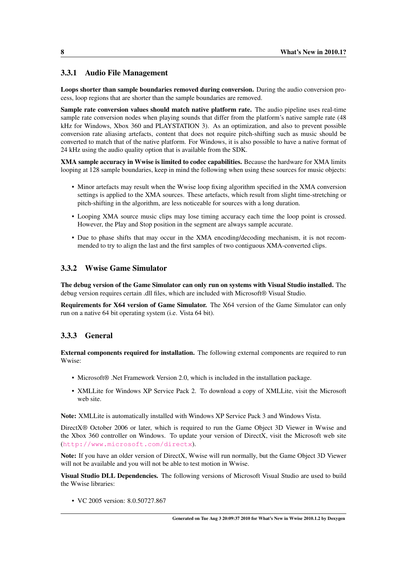#### <span id="page-11-0"></span>3.3.1 Audio File Management

Loops shorter than sample boundaries removed during conversion. During the audio conversion process, loop regions that are shorter than the sample boundaries are removed.

Sample rate conversion values should match native platform rate. The audio pipeline uses real-time sample rate conversion nodes when playing sounds that differ from the platform's native sample rate (48 kHz for Windows, Xbox 360 and PLAYSTATION 3). As an optimization, and also to prevent possible conversion rate aliasing artefacts, content that does not require pitch-shifting such as music should be converted to match that of the native platform. For Windows, it is also possible to have a native format of 24 kHz using the audio quality option that is available from the SDK.

XMA sample accuracy in Wwise is limited to codec capabilities. Because the hardware for XMA limits looping at 128 sample boundaries, keep in mind the following when using these sources for music objects:

- Minor artefacts may result when the Wwise loop fixing algorithm specified in the XMA conversion settings is applied to the XMA sources. These artefacts, which result from slight time-stretching or pitch-shifting in the algorithm, are less noticeable for sources with a long duration.
- Looping XMA source music clips may lose timing accuracy each time the loop point is crossed. However, the Play and Stop position in the segment are always sample accurate.
- Due to phase shifts that may occur in the XMA encoding/decoding mechanism, it is not recommended to try to align the last and the first samples of two contiguous XMA-converted clips.

#### <span id="page-11-1"></span>3.3.2 Wwise Game Simulator

The debug version of the Game Simulator can only run on systems with Visual Studio installed. The debug version requires certain .dll files, which are included with Microsoft® Visual Studio.

Requirements for X64 version of Game Simulator. The X64 version of the Game Simulator can only run on a native 64 bit operating system (i.e. Vista 64 bit).

#### <span id="page-11-2"></span>3.3.3 General

External components required for installation. The following external components are required to run Wwise:

- Microsoft® .Net Framework Version 2.0, which is included in the installation package.
- XMLLite for Windows XP Service Pack 2. To download a copy of XMLLite, visit the Microsoft web site.

Note: XMLLite is automatically installed with Windows XP Service Pack 3 and Windows Vista.

DirectX® October 2006 or later, which is required to run the Game Object 3D Viewer in Wwise and the Xbox 360 controller on Windows. To update your version of DirectX, visit the Microsoft web site (<http://www.microsoft.com/directx>).

Note: If you have an older version of DirectX, Wwise will run normally, but the Game Object 3D Viewer will not be available and you will not be able to test motion in Wwise.

Visual Studio DLL Dependencies. The following versions of Microsoft Visual Studio are used to build the Wwise libraries:

• VC 2005 version: 8.0.50727.867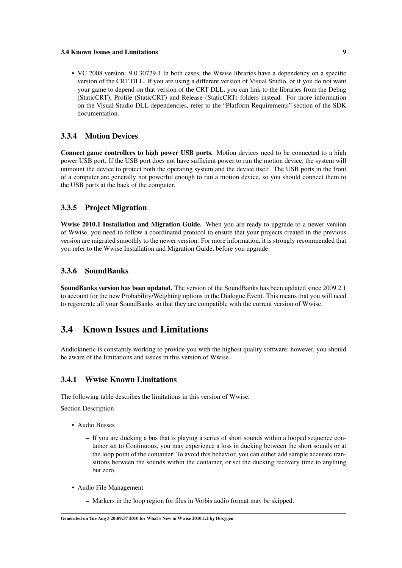• VC 2008 version: 9.0.30729.1 In both cases, the Wwise libraries have a dependency on a specific version of the CRT DLL. If you are using a different version of Visual Studio, or if you do not want your game to depend on that version of the CRT DLL, you can link to the libraries from the Debug (StaticCRT), Profile (StaticCRT) and Release (StaticCRT) folders instead. For more information on the Visual Studio DLL dependencies, refer to the "Platform Requirements" section of the SDK documentation.

#### <span id="page-12-0"></span>3.3.4 Motion Devices

Connect game controllers to high power USB ports. Motion devices need to be connected to a high power USB port. If the USB port does not have sufficient power to run the motion device, the system will unmount the device to protect both the operating system and the device itself. The USB ports in the front of a computer are generally not powerful enough to run a motion device, so you should connect them to the USB ports at the back of the computer.

#### <span id="page-12-1"></span>3.3.5 Project Migration

Wwise 2010.1 Installation and Migration Guide. When you are ready to upgrade to a newer version of Wwise, you need to follow a coordinated protocol to ensure that your projects created in the previous version are migrated smoothly to the newer version. For more information, it is strongly recommended that you refer to the Wwise Installation and Migration Guide, before you upgrade.

#### <span id="page-12-2"></span>3.3.6 SoundBanks

SoundBanks version has been updated. The version of the SoundBanks has been updated since 2009.2.1 to account for the new Probability/Weighting options in the Dialogue Event. This means that you will need to regenerate all your SoundBanks so that they are compatible with the current version of Wwise.

## <span id="page-12-3"></span>3.4 Known Issues and Limitations

Audiokinetic is constantly working to provide you with the highest quality software; however, you should be aware of the limitations and issues in this version of Wwise.

#### <span id="page-12-4"></span>3.4.1 Wwise Known Limitations

The following table describes the limitations in this version of Wwise.

Section Description

- Audio Busses
	- If you are ducking a bus that is playing a series of short sounds within a looped sequence container set to Continuous, you may experience a loss in ducking between the short sounds or at the loop point of the container. To avoid this behavior, you can either add sample accurate transitions between the sounds within the container, or set the ducking recovery time to anything but zero.
- Audio File Management
	- Markers in the loop region for files in Vorbis audio format may be skipped.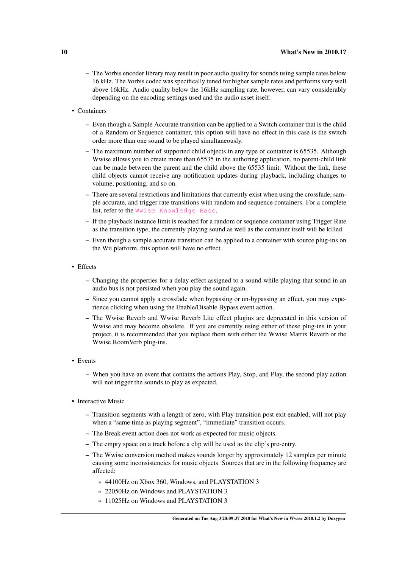- The Vorbis encoder library may result in poor audio quality for sounds using sample rates below 16 kHz. The Vorbis codec was specifically tuned for higher sample rates and performs very well above 16kHz. Audio quality below the 16kHz sampling rate, however, can vary considerably depending on the encoding settings used and the audio asset itself.
- Containers
	- Even though a Sample Accurate transition can be applied to a Switch container that is the child of a Random or Sequence container, this option will have no effect in this case is the switch order more than one sound to be played simultaneously.
	- The maximum number of supported child objects in any type of container is 65535. Although Wwise allows you to create more than 65535 in the authoring application, no parent-child link can be made between the parent and the child above the 65535 limit. Without the link, these child objects cannot receive any notification updates during playback, including changes to volume, positioning, and so on.
	- There are several restrictions and limitations that currently exist when using the crossfade, sample accurate, and trigger rate transitions with random and sequence containers. For a complete list, refer to the [Wwise Knowledge Base](http://kb.gowwise.com/).
	- If the playback instance limit is reached for a random or sequence container using Trigger Rate as the transition type, the currently playing sound as well as the container itself will be killed.
	- Even though a sample accurate transition can be applied to a container with source plug-ins on the Wii platform, this option will have no effect.
- Effects
	- Changing the properties for a delay effect assigned to a sound while playing that sound in an audio bus is not persisted when you play the sound again.
	- Since you cannot apply a crossfade when bypassing or un-bypassing an effect, you may experience clicking when using the Enable/Disable Bypass event action.
	- The Wwise Reverb and Wwise Reverb Lite effect plugins are deprecated in this version of Wwise and may become obsolete. If you are currently using either of these plug-ins in your project, it is recommended that you replace them with either the Wwise Matrix Reverb or the Wwise RoomVerb plug-ins.
- Events
	- When you have an event that contains the actions Play, Stop, and Play, the second play action will not trigger the sounds to play as expected.
- Interactive Music
	- Transition segments with a length of zero, with Play transition post exit enabled, will not play when a "same time as playing segment", "immediate" transition occurs.
	- The Break event action does not work as expected for music objects.
	- The empty space on a track before a clip will be used as the clip's pre-entry.
	- The Wwise conversion method makes sounds longer by approximately 12 samples per minute causing some inconsistencies for music objects. Sources that are in the following frequency are affected:
		- \* 44100Hz on Xbox 360, Windows, and PLAYSTATION 3
		- \* 22050Hz on Windows and PLAYSTATION 3
		- \* 11025Hz on Windows and PLAYSTATION 3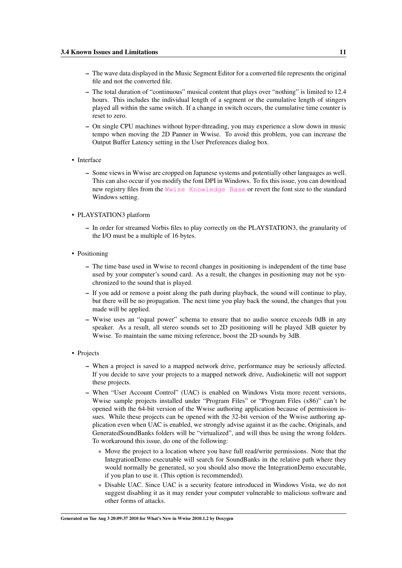- The wave data displayed in the Music Segment Editor for a converted file represents the original file and not the converted file.
- The total duration of "continuous" musical content that plays over "nothing" is limited to 12.4 hours. This includes the individual length of a segment or the cumulative length of stingers played all within the same switch. If a change in switch occurs, the cumulative time counter is reset to zero.
- On single CPU machines without hyper-threading, you may experience a slow down in music tempo when moving the 2D Panner in Wwise. To avoid this problem, you can increase the Output Buffer Latency setting in the User Preferences dialog box.
- Interface
	- Some views in Wwise are cropped on Japanese systems and potentially other languages as well. This can also occur if you modify the font DPI in Windows. To fix this issue, you can download new registry files from the [Wwise Knowledge Base](http://kb.gowwise.com/) or revert the font size to the standard Windows setting.
- PLAYSTATION3 platform
	- In order for streamed Vorbis files to play correctly on the PLAYSTATION3, the granularity of the I/O must be a multiple of 16 bytes.
- Positioning
	- The time base used in Wwise to record changes in positioning is independent of the time base used by your computer's sound card. As a result, the changes in positioning may not be synchronized to the sound that is played.
	- If you add or remove a point along the path during playback, the sound will continue to play, but there will be no propagation. The next time you play back the sound, the changes that you made will be applied.
	- Wwise uses an "equal power" schema to ensure that no audio source exceeds 0dB in any speaker. As a result, all stereo sounds set to 2D positioning will be played 3dB quieter by Wwise. To maintain the same mixing reference, boost the 2D sounds by 3dB.
- Projects
	- When a project is saved to a mapped network drive, performance may be seriously affected. If you decide to save your projects to a mapped network drive, Audiokinetic will not support these projects.
	- When "User Account Control" (UAC) is enabled on Windows Vista more recent versions, Wwise sample projects installed under "Program Files" or "Program Files (x86)" can't be opened with the 64-bit version of the Wwise authoring application because of permission issues. While these projects can be opened with the 32-bit version of the Wwise authoring application even when UAC is enabled, we strongly advise against it as the cache, Originals, and GeneratedSoundBanks folders will be "virtualized", and will thus be using the wrong folders. To workaround this issue, do one of the following:
		- \* Move the project to a location where you have full read/write permissions. Note that the IntegrationDemo executable will search for SoundBanks in the relative path where they would normally be generated, so you should also move the IntegrationDemo executable, if you plan to use it. (This option is recommended).
		- \* Disable UAC. Since UAC is a security feature introduced in Windows Vista, we do not suggest disabling it as it may render your computer vulnerable to malicious software and other forms of attacks.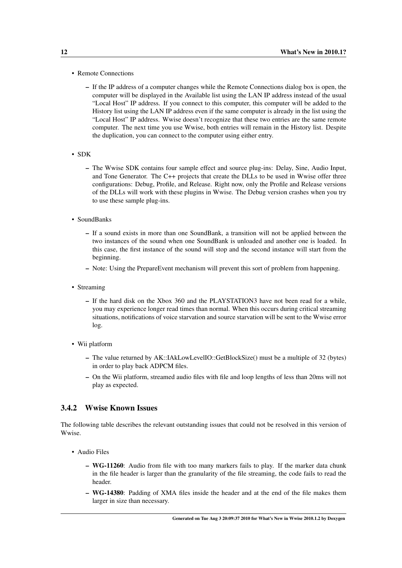- Remote Connections
	- If the IP address of a computer changes while the Remote Connections dialog box is open, the computer will be displayed in the Available list using the LAN IP address instead of the usual "Local Host" IP address. If you connect to this computer, this computer will be added to the History list using the LAN IP address even if the same computer is already in the list using the "Local Host" IP address. Wwise doesn't recognize that these two entries are the same remote computer. The next time you use Wwise, both entries will remain in the History list. Despite the duplication, you can connect to the computer using either entry.
- SDK
	- The Wwise SDK contains four sample effect and source plug-ins: Delay, Sine, Audio Input, and Tone Generator. The C++ projects that create the DLLs to be used in Wwise offer three configurations: Debug, Profile, and Release. Right now, only the Profile and Release versions of the DLLs will work with these plugins in Wwise. The Debug version crashes when you try to use these sample plug-ins.
- SoundBanks
	- If a sound exists in more than one SoundBank, a transition will not be applied between the two instances of the sound when one SoundBank is unloaded and another one is loaded. In this case, the first instance of the sound will stop and the second instance will start from the beginning.
	- Note: Using the PrepareEvent mechanism will prevent this sort of problem from happening.
- Streaming
	- If the hard disk on the Xbox 360 and the PLAYSTATION3 have not been read for a while, you may experience longer read times than normal. When this occurs during critical streaming situations, notifications of voice starvation and source starvation will be sent to the Wwise error log.
- Wii platform
	- The value returned by AK::IAkLowLevelIO::GetBlockSize() must be a multiple of 32 (bytes) in order to play back ADPCM files.
	- On the Wii platform, streamed audio files with file and loop lengths of less than 20ms will not play as expected.

#### <span id="page-15-0"></span>3.4.2 Wwise Known Issues

The following table describes the relevant outstanding issues that could not be resolved in this version of Wwise.

- Audio Files
	- WG-11260: Audio from file with too many markers fails to play. If the marker data chunk in the file header is larger than the granularity of the file streaming, the code fails to read the header.
	- WG-14380: Padding of XMA files inside the header and at the end of the file makes them larger in size than necessary.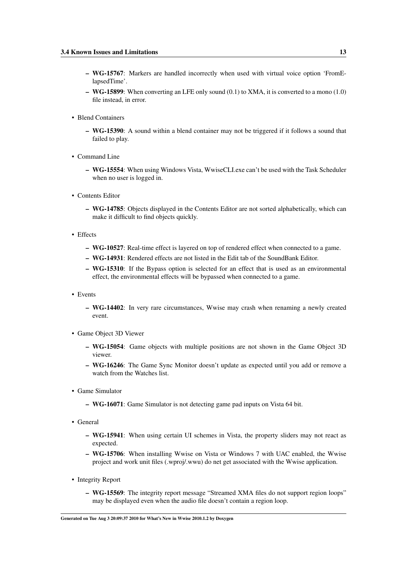- WG-15767: Markers are handled incorrectly when used with virtual voice option 'FromElapsedTime'.
- WG-15899: When converting an LFE only sound (0.1) to XMA, it is converted to a mono (1.0) file instead, in error.
- Blend Containers
	- WG-15390: A sound within a blend container may not be triggered if it follows a sound that failed to play.
- Command Line
	- WG-15554: When using Windows Vista, WwiseCLI.exe can't be used with the Task Scheduler when no user is logged in.
- Contents Editor
	- WG-14785: Objects displayed in the Contents Editor are not sorted alphabetically, which can make it difficult to find objects quickly.
- Effects
	- WG-10527: Real-time effect is layered on top of rendered effect when connected to a game.
	- WG-14931: Rendered effects are not listed in the Edit tab of the SoundBank Editor.
	- WG-15310: If the Bypass option is selected for an effect that is used as an environmental effect, the environmental effects will be bypassed when connected to a game.
- Events
	- WG-14402: In very rare circumstances, Wwise may crash when renaming a newly created event.
- Game Object 3D Viewer
	- WG-15054: Game objects with multiple positions are not shown in the Game Object 3D viewer.
	- WG-16246: The Game Sync Monitor doesn't update as expected until you add or remove a watch from the Watches list.
- Game Simulator
	- WG-16071: Game Simulator is not detecting game pad inputs on Vista 64 bit.
- General
	- WG-15941: When using certain UI schemes in Vista, the property sliders may not react as expected.
	- WG-15706: When installing Wwise on Vista or Windows 7 with UAC enabled, the Wwise project and work unit files (.wproj/.wwu) do net get associated with the Wwise application.
- Integrity Report
	- WG-15569: The integrity report message "Streamed XMA files do not support region loops" may be displayed even when the audio file doesn't contain a region loop.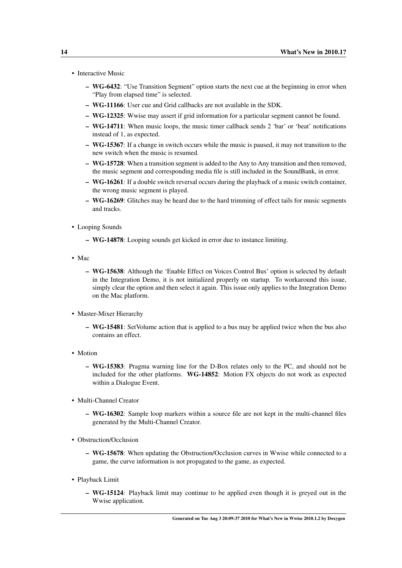- Interactive Music
	- WG-6432: "Use Transition Segment" option starts the next cue at the beginning in error when "Play from elapsed time" is selected.
	- WG-11166: User cue and Grid callbacks are not available in the SDK.
	- WG-12325: Wwise may assert if grid information for a particular segment cannot be found.
	- WG-14711: When music loops, the music timer callback sends 2 'bar' or 'beat' notifications instead of 1, as expected.
	- WG-15367: If a change in switch occurs while the music is paused, it may not transition to the new switch when the music is resumed.
	- WG-15728: When a transition segment is added to the Any to Any transition and then removed, the music segment and corresponding media file is still included in the SoundBank, in error.
	- WG-16261: If a double switch reversal occurs during the playback of a music switch container, the wrong music segment is played.
	- WG-16269: Glitches may be heard due to the hard trimming of effect tails for music segments and tracks.
- Looping Sounds
	- WG-14878: Looping sounds get kicked in error due to instance limiting.
- Mac
	- WG-15638: Although the 'Enable Effect on Voices Control Bus' option is selected by default in the Integration Demo, it is not initialized properly on startup. To workaround this issue, simply clear the option and then select it again. This issue only applies to the Integration Demo on the Mac platform.
- Master-Mixer Hierarchy
	- WG-15481: SetVolume action that is applied to a bus may be applied twice when the bus also contains an effect.
- Motion
	- WG-15383: Pragma warning line for the D-Box relates only to the PC, and should not be included for the other platforms. WG-14852: Motion FX objects do not work as expected within a Dialogue Event.
- Multi-Channel Creator
	- WG-16302: Sample loop markers within a source file are not kept in the multi-channel files generated by the Multi-Channel Creator.
- Obstruction/Occlusion
	- WG-15678: When updating the Obstruction/Occlusion curves in Wwise while connected to a game, the curve information is not propagated to the game, as expected.
- Playback Limit
	- WG-15124: Playback limit may continue to be applied even though it is greyed out in the Wwise application.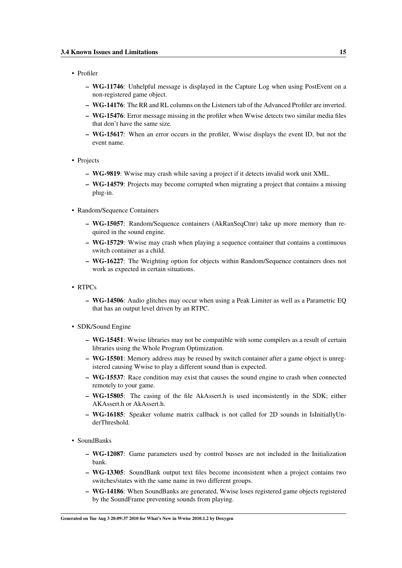#### • Profiler

- WG-11746: Unhelpful message is displayed in the Capture Log when using PostEvent on a non-registered game object.
- WG-14176: The RR and RL columns on the Listeners tab of the Advanced Profiler are inverted.
- WG-15476: Error message missing in the profiler when Wwise detects two similar media files that don't have the same size.
- WG-15617: When an error occurs in the profiler, Wwise displays the event ID, but not the event name.
- Projects
	- WG-9819: Wwise may crash while saving a project if it detects invalid work unit XML.
	- WG-14579: Projects may become corrupted when migrating a project that contains a missing plug-in.
- Random/Sequence Containers
	- WG-15057: Random/Sequence containers (AkRanSeqCtnr) take up more memory than required in the sound engine.
	- WG-15729: Wwise may crash when playing a sequence container that contains a continuous switch container as a child.
	- WG-16227: The Weighting option for objects within Random/Sequence containers does not work as expected in certain situations.
- RTPCs
	- WG-14506: Audio glitches may occur when using a Peak Limiter as well as a Parametric EQ that has an output level driven by an RTPC.
- SDK/Sound Engine
	- WG-15451: Wwise libraries may not be compatible with some compilers as a result of certain libraries using the Whole Program Optimization.
	- WG-15501: Memory address may be reused by switch container after a game object is unregistered causing Wwise to play a different sound than is expected.
	- WG-15537: Race condition may exist that causes the sound engine to crash when connected remotely to your game.
	- WG-15805: The casing of the file AkAssert.h is used inconsistently in the SDK; either AKAssert.h or AkAssert.h.
	- WG-16185: Speaker volume matrix callback is not called for 2D sounds in IsInitiallyUnderThreshold.
- SoundBanks
	- WG-12087: Game parameters used by control busses are not included in the Initialization bank.
	- WG-13305: SoundBank output text files become inconsistent when a project contains two switches/states with the same name in two different groups.
	- WG-14186: When SoundBanks are generated, Wwise loses registered game objects registered by the SoundFrame preventing sounds from playing.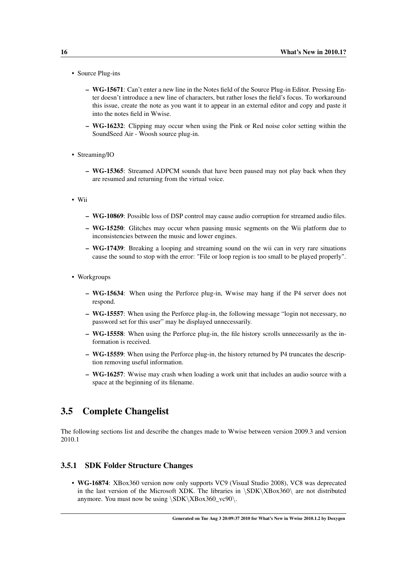- Source Plug-ins
	- WG-15671: Can't enter a new line in the Notes field of the Source Plug-in Editor. Pressing Enter doesn't introduce a new line of characters, but rather loses the field's focus. To workaround this issue, create the note as you want it to appear in an external editor and copy and paste it into the notes field in Wwise.
	- WG-16232: Clipping may occur when using the Pink or Red noise color setting within the SoundSeed Air - Woosh source plug-in.
- Streaming/IO
	- WG-15365: Streamed ADPCM sounds that have been paused may not play back when they are resumed and returning from the virtual voice.
- Wii
	- WG-10869: Possible loss of DSP control may cause audio corruption for streamed audio files.
	- WG-15250: Glitches may occur when pausing music segments on the Wii platform due to inconsistencies between the music and lower engines.
	- WG-17439: Breaking a looping and streaming sound on the wii can in very rare situations cause the sound to stop with the error: "File or loop region is too small to be played properly".
- Workgroups
	- WG-15634: When using the Perforce plug-in, Wwise may hang if the P4 server does not respond.
	- WG-15557: When using the Perforce plug-in, the following message "login not necessary, no password set for this user" may be displayed unnecessarily.
	- WG-15558: When using the Perforce plug-in, the file history scrolls unnecessarily as the information is received.
	- WG-15559: When using the Perforce plug-in, the history returned by P4 truncates the description removing useful information.
	- WG-16257: Wwise may crash when loading a work unit that includes an audio source with a space at the beginning of its filename.

### <span id="page-19-0"></span>3.5 Complete Changelist

The following sections list and describe the changes made to Wwise between version 2009.3 and version 2010.1

#### <span id="page-19-1"></span>3.5.1 SDK Folder Structure Changes

• WG-16874: XBox360 version now only supports VC9 (Visual Studio 2008), VC8 was deprecated in the last version of the Microsoft XDK. The libraries in \SDK\XBox360\ are not distributed anymore. You must now be using  $\SBK\XBox360$ <sub>vc90</sub>.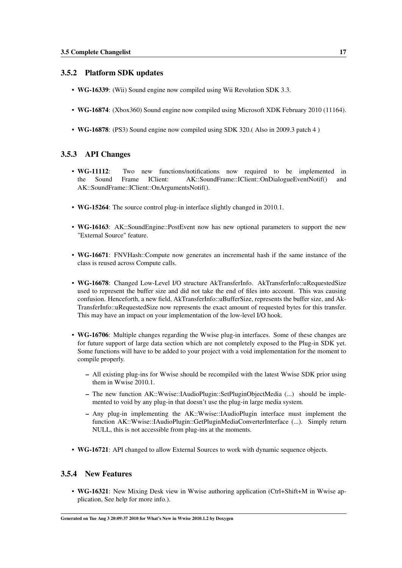#### <span id="page-20-0"></span>3.5.2 Platform SDK updates

- WG-16339: (Wii) Sound engine now compiled using Wii Revolution SDK 3.3.
- WG-16874: (Xbox360) Sound engine now compiled using Microsoft XDK February 2010 (11164).
- WG-16878: (PS3) Sound engine now compiled using SDK 320.( Also in 2009.3 patch 4 )

#### <span id="page-20-1"></span>3.5.3 API Changes

- WG-11112: Two new functions/notifications now required to be implemented in the Sound Frame IClient: AK::SoundFrame::IClient::OnDialogueEventNotif() and AK::SoundFrame::IClient::OnArgumentsNotif().
- WG-15264: The source control plug-in interface slightly changed in 2010.1.
- WG-16163: AK::SoundEngine::PostEvent now has new optional parameters to support the new "External Source" feature.
- WG-16671: FNVHash::Compute now generates an incremental hash if the same instance of the class is reused across Compute calls.
- WG-16678: Changed Low-Level I/O structure AkTransferInfo. AkTransferInfo::uRequestedSize used to represent the buffer size and did not take the end of files into account. This was causing confusion. Henceforth, a new field, AkTransferInfo::uBufferSize, represents the buffer size, and Ak-TransferInfo::uRequestedSize now represents the exact amount of requested bytes for this transfer. This may have an impact on your implementation of the low-level I/O hook.
- WG-16706: Multiple changes regarding the Wwise plug-in interfaces. Some of these changes are for future support of large data section which are not completely exposed to the Plug-in SDK yet. Some functions will have to be added to your project with a void implementation for the moment to compile properly.
	- All existing plug-ins for Wwise should be recompiled with the latest Wwise SDK prior using them in Wwise 2010.1.
	- The new function AK::Wwise::IAudioPlugin::SetPluginObjectMedia (...) should be implemented to void by any plug-in that doesn't use the plug-in large media system.
	- Any plug-in implementing the AK::Wwise::IAudioPlugin interface must implement the function AK::Wwise::IAudioPlugin::GetPluginMediaConverterInterface (...). Simply return NULL, this is not accessible from plug-ins at the moments.
- WG-16721: API changed to allow External Sources to work with dynamic sequence objects.

#### <span id="page-20-2"></span>3.5.4 New Features

• WG-16321: New Mixing Desk view in Wwise authoring application (Ctrl+Shift+M in Wwise application, See help for more info.).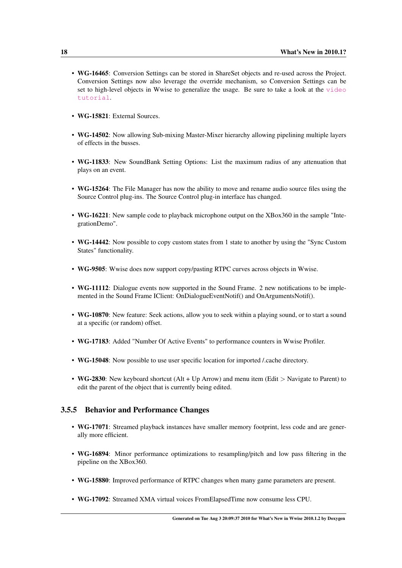- WG-16465: Conversion Settings can be stored in ShareSet objects and re-used across the Project. Conversion Settings now also leverage the override mechanism, so Conversion Settings can be set to high-level objects in Wwise to generalize the usage. Be sure to take a look at the [video](http://www.audiokinetic.com/video/video.php?target=tutorials/Wwise/21) [tutorial](http://www.audiokinetic.com/video/video.php?target=tutorials/Wwise/21).
- WG-15821: External Sources
- WG-14502: Now allowing Sub-mixing Master-Mixer hierarchy allowing pipelining multiple layers of effects in the busses.
- WG-11833: New SoundBank Setting Options: List the maximum radius of any attenuation that plays on an event.
- WG-15264: The File Manager has now the ability to move and rename audio source files using the Source Control plug-ins. The Source Control plug-in interface has changed.
- WG-16221: New sample code to playback microphone output on the XBox360 in the sample "IntegrationDemo".
- WG-14442: Now possible to copy custom states from 1 state to another by using the "Sync Custom States" functionality.
- WG-9505: Wwise does now support copy/pasting RTPC curves across objects in Wwise.
- WG-11112: Dialogue events now supported in the Sound Frame. 2 new notifications to be implemented in the Sound Frame IClient: OnDialogueEventNotif() and OnArgumentsNotif().
- WG-10870: New feature: Seek actions, allow you to seek within a playing sound, or to start a sound at a specific (or random) offset.
- WG-17183: Added "Number Of Active Events" to performance counters in Wwise Profiler.
- WG-15048: Now possible to use user specific location for imported /.cache directory.
- WG-2830: New keyboard shortcut (Alt + Up Arrow) and menu item (Edit > Navigate to Parent) to edit the parent of the object that is currently being edited.

#### <span id="page-21-0"></span>3.5.5 Behavior and Performance Changes

- WG-17071: Streamed playback instances have smaller memory footprint, less code and are generally more efficient.
- WG-16894: Minor performance optimizations to resampling/pitch and low pass filtering in the pipeline on the XBox360.
- WG-15880: Improved performance of RTPC changes when many game parameters are present.
- WG-17092: Streamed XMA virtual voices FromElapsedTime now consume less CPU.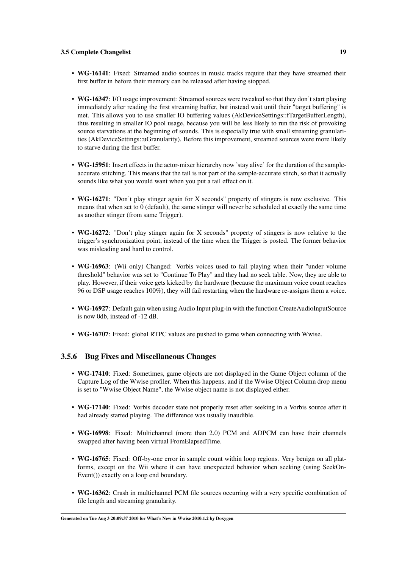- WG-16141: Fixed: Streamed audio sources in music tracks require that they have streamed their first buffer in before their memory can be released after having stopped.
- WG-16347: I/O usage improvement: Streamed sources were tweaked so that they don't start playing immediately after reading the first streaming buffer, but instead wait until their "target buffering" is met. This allows you to use smaller IO buffering values (AkDeviceSettings::fTargetBufferLength), thus resulting in smaller IO pool usage, because you will be less likely to run the risk of provoking source starvations at the beginning of sounds. This is especially true with small streaming granularities (AkDeviceSettings::uGranularity). Before this improvement, streamed sources were more likely to starve during the first buffer.
- WG-15951: Insert effects in the actor-mixer hierarchy now 'stay alive' for the duration of the sampleaccurate stitching. This means that the tail is not part of the sample-accurate stitch, so that it actually sounds like what you would want when you put a tail effect on it.
- WG-16271: "Don't play stinger again for X seconds" property of stingers is now exclusive. This means that when set to 0 (default), the same stinger will never be scheduled at exactly the same time as another stinger (from same Trigger).
- WG-16272: "Don't play stinger again for X seconds" property of stingers is now relative to the trigger's synchronization point, instead of the time when the Trigger is posted. The former behavior was misleading and hard to control.
- WG-16963: (Wii only) Changed: Vorbis voices used to fail playing when their "under volume" threshold" behavior was set to "Continue To Play" and they had no seek table. Now, they are able to play. However, if their voice gets kicked by the hardware (because the maximum voice count reaches 96 or DSP usage reaches 100%), they will fail restarting when the hardware re-assigns them a voice.
- WG-16927: Default gain when using Audio Input plug-in with the function CreateAudioInputSource is now 0db, instead of -12 dB.
- WG-16707: Fixed: global RTPC values are pushed to game when connecting with Wwise.

#### <span id="page-22-0"></span>3.5.6 Bug Fixes and Miscellaneous Changes

- WG-17410: Fixed: Sometimes, game objects are not displayed in the Game Object column of the Capture Log of the Wwise profiler. When this happens, and if the Wwise Object Column drop menu is set to "Wwise Object Name", the Wwise object name is not displayed either.
- WG-17140: Fixed: Vorbis decoder state not properly reset after seeking in a Vorbis source after it had already started playing. The difference was usually inaudible.
- WG-16998: Fixed: Multichannel (more than 2.0) PCM and ADPCM can have their channels swapped after having been virtual FromElapsedTime.
- WG-16765: Fixed: Off-by-one error in sample count within loop regions. Very benign on all platforms, except on the Wii where it can have unexpected behavior when seeking (using SeekOn-Event()) exactly on a loop end boundary.
- WG-16362: Crash in multichannel PCM file sources occurring with a very specific combination of file length and streaming granularity.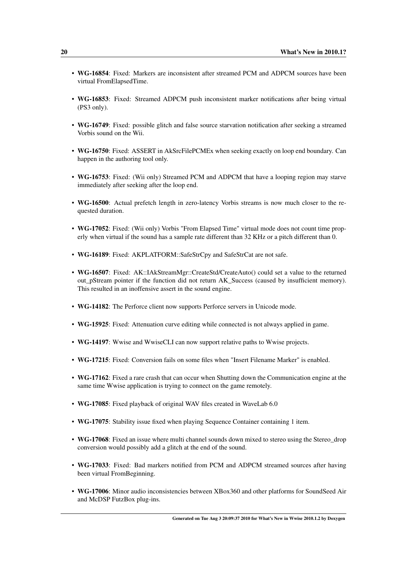- WG-16854: Fixed: Markers are inconsistent after streamed PCM and ADPCM sources have been virtual FromElapsedTime.
- WG-16853: Fixed: Streamed ADPCM push inconsistent marker notifications after being virtual (PS3 only).
- WG-16749: Fixed: possible glitch and false source starvation notification after seeking a streamed Vorbis sound on the Wii.
- WG-16750: Fixed: ASSERT in AkSrcFilePCMEx when seeking exactly on loop end boundary. Can happen in the authoring tool only.
- WG-16753: Fixed: (Wii only) Streamed PCM and ADPCM that have a looping region may starve immediately after seeking after the loop end.
- WG-16500: Actual prefetch length in zero-latency Vorbis streams is now much closer to the requested duration.
- WG-17052: Fixed: (Wii only) Vorbis "From Elapsed Time" virtual mode does not count time properly when virtual if the sound has a sample rate different than 32 KHz or a pitch different than 0.
- WG-16189: Fixed: AKPLATFORM::SafeStrCpy and SafeStrCat are not safe.
- WG-16507: Fixed: AK::IAkStreamMgr::CreateStd/CreateAuto() could set a value to the returned out\_pStream pointer if the function did not return AK\_Success (caused by insufficient memory). This resulted in an inoffensive assert in the sound engine.
- WG-14182: The Perforce client now supports Perforce servers in Unicode mode.
- WG-15925: Fixed: Attenuation curve editing while connected is not always applied in game.
- WG-14197: Wwise and WwiseCLI can now support relative paths to Wwise projects.
- WG-17215: Fixed: Conversion fails on some files when "Insert Filename Marker" is enabled.
- WG-17162: Fixed a rare crash that can occur when Shutting down the Communication engine at the same time Wwise application is trying to connect on the game remotely.
- WG-17085: Fixed playback of original WAV files created in WaveLab 6.0
- WG-17075: Stability issue fixed when playing Sequence Container containing 1 item.
- WG-17068: Fixed an issue where multi channel sounds down mixed to stereo using the Stereo\_drop conversion would possibly add a glitch at the end of the sound.
- WG-17033: Fixed: Bad markers notified from PCM and ADPCM streamed sources after having been virtual FromBeginning.
- WG-17006: Minor audio inconsistencies between XBox360 and other platforms for SoundSeed Air and McDSP FutzBox plug-ins.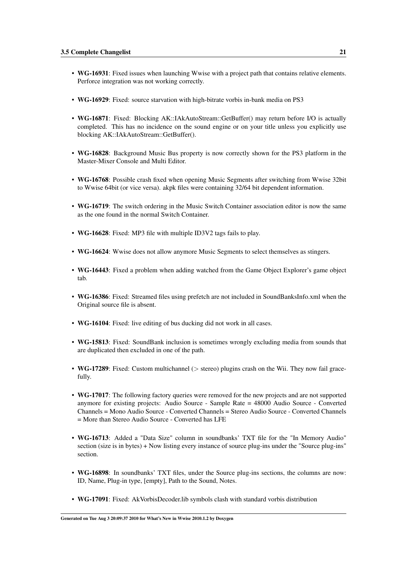- WG-16931: Fixed issues when launching Wwise with a project path that contains relative elements. Perforce integration was not working correctly.
- WG-16929: Fixed: source starvation with high-bitrate vorbis in-bank media on PS3
- WG-16871: Fixed: Blocking AK::IAkAutoStream::GetBuffer() may return before I/O is actually completed. This has no incidence on the sound engine or on your title unless you explicitly use blocking AK::IAkAutoStream::GetBuffer().
- WG-16828: Background Music Bus property is now correctly shown for the PS3 platform in the Master-Mixer Console and Multi Editor.
- WG-16768: Possible crash fixed when opening Music Segments after switching from Wwise 32bit to Wwise 64bit (or vice versa). akpk files were containing 32/64 bit dependent information.
- WG-16719: The switch ordering in the Music Switch Container association editor is now the same as the one found in the normal Switch Container.
- WG-16628: Fixed: MP3 file with multiple ID3V2 tags fails to play.
- WG-16624: Wwise does not allow anymore Music Segments to select themselves as stingers.
- WG-16443: Fixed a problem when adding watched from the Game Object Explorer's game object tab.
- WG-16386: Fixed: Streamed files using prefetch are not included in SoundBanksInfo.xml when the Original source file is absent.
- WG-16104: Fixed: live editing of bus ducking did not work in all cases.
- WG-15813: Fixed: SoundBank inclusion is sometimes wrongly excluding media from sounds that are duplicated then excluded in one of the path.
- WG-17289: Fixed: Custom multichannel ( $>$  stereo) plugins crash on the Wii. They now fail gracefully.
- WG-17017: The following factory queries were removed for the new projects and are not supported anymore for existing projects: Audio Source - Sample Rate = 48000 Audio Source - Converted Channels = Mono Audio Source - Converted Channels = Stereo Audio Source - Converted Channels = More than Stereo Audio Source - Converted has LFE
- WG-16713: Added a "Data Size" column in soundbanks' TXT file for the "In Memory Audio" section (size is in bytes) + Now listing every instance of source plug-ins under the "Source plug-ins" section.
- WG-16898: In soundbanks' TXT files, under the Source plug-ins sections, the columns are now: ID, Name, Plug-in type, [empty], Path to the Sound, Notes.
- WG-17091: Fixed: AkVorbisDecoder.lib symbols clash with standard vorbis distribution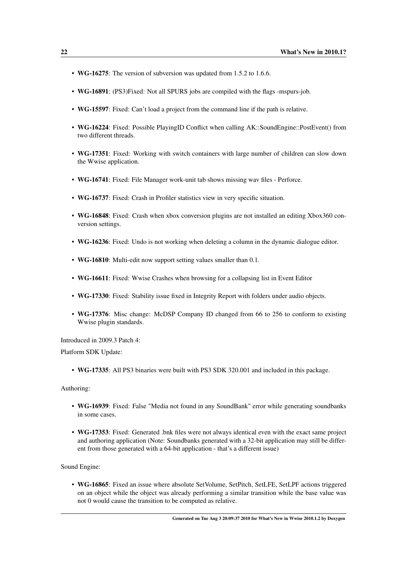- WG-16275: The version of subversion was updated from 1.5.2 to 1.6.6.
- WG-16891: (PS3)Fixed: Not all SPURS jobs are compiled with the flags -mspurs-job.
- WG-15597: Fixed: Can't load a project from the command line if the path is relative.
- WG-16224: Fixed: Possible PlayingID Conflict when calling AK::SoundEngine::PostEvent() from two different threads.
- WG-17351: Fixed: Working with switch containers with large number of children can slow down the Wwise application.
- WG-16741: Fixed: File Manager work-unit tab shows missing wav files Perforce.
- WG-16737: Fixed: Crash in Profiler statistics view in very specific situation.
- WG-16848: Fixed: Crash when xbox conversion plugins are not installed an editing Xbox360 conversion settings.
- WG-16236: Fixed: Undo is not working when deleting a column in the dynamic dialogue editor.
- WG-16810: Multi-edit now support setting values smaller than 0.1.
- WG-16611: Fixed: Wwise Crashes when browsing for a collapsing list in Event Editor
- WG-17330: Fixed: Stability issue fixed in Integrity Report with folders under audio objects.
- WG-17376: Misc change: McDSP Company ID changed from 66 to 256 to conform to existing Wwise plugin standards.

Introduced in 2009.3 Patch 4:

Platform SDK Update:

• WG-17335: All PS3 binaries were built with PS3 SDK 320.001 and included in this package.

Authoring:

- WG-16939: Fixed: False "Media not found in any SoundBank" error while generating soundbanks in some cases.
- WG-17353: Fixed: Generated .bnk files were not always identical even with the exact same project and authoring application (Note: Soundbanks generated with a 32-bit application may still be different from those generated with a 64-bit application - that's a different issue)

Sound Engine:

• WG-16865: Fixed an issue where absolute SetVolume, SetPitch, SetLFE, SetLPF actions triggered on an object while the object was already performing a similar transition while the base value was not 0 would cause the transition to be computed as relative.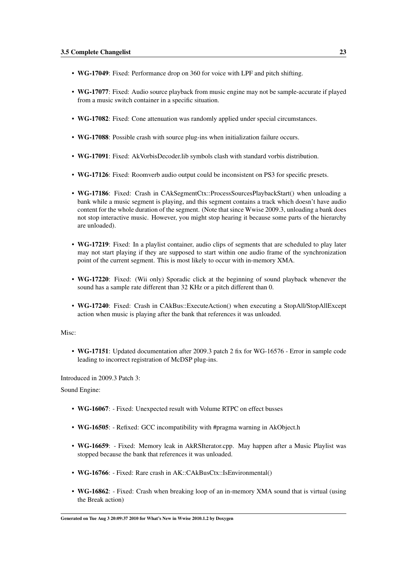- WG-17049: Fixed: Performance drop on 360 for voice with LPF and pitch shifting.
- WG-17077: Fixed: Audio source playback from music engine may not be sample-accurate if played from a music switch container in a specific situation.
- WG-17082: Fixed: Cone attenuation was randomly applied under special circumstances.
- WG-17088: Possible crash with source plug-ins when initialization failure occurs.
- WG-17091: Fixed: AkVorbisDecoder.lib symbols clash with standard vorbis distribution.
- WG-17126: Fixed: Roomverb audio output could be inconsistent on PS3 for specific presets.
- WG-17186: Fixed: Crash in CAkSegmentCtx::ProcessSourcesPlaybackStart() when unloading a bank while a music segment is playing, and this segment contains a track which doesn't have audio content for the whole duration of the segment. (Note that since Wwise 2009.3, unloading a bank does not stop interactive music. However, you might stop hearing it because some parts of the hierarchy are unloaded).
- WG-17219: Fixed: In a playlist container, audio clips of segments that are scheduled to play later may not start playing if they are supposed to start within one audio frame of the synchronization point of the current segment. This is most likely to occur with in-memory XMA.
- WG-17220: Fixed: (Wii only) Sporadic click at the beginning of sound playback whenever the sound has a sample rate different than 32 KHz or a pitch different than 0.
- WG-17240: Fixed: Crash in CAkBus::ExecuteAction() when executing a StopAll/StopAllExcept action when music is playing after the bank that references it was unloaded.

#### Misc:

• WG-17151: Updated documentation after 2009.3 patch 2 fix for WG-16576 - Error in sample code leading to incorrect registration of McDSP plug-ins.

Introduced in 2009.3 Patch 3:

Sound Engine:

- WG-16067: Fixed: Unexpected result with Volume RTPC on effect busses
- WG-16505: Refixed: GCC incompatibility with #pragma warning in AkObject.h
- WG-16659: Fixed: Memory leak in AkRSIterator.cpp. May happen after a Music Playlist was stopped because the bank that references it was unloaded.
- WG-16766: Fixed: Rare crash in AK::CAkBusCtx::IsEnvironmental()
- WG-16862: Fixed: Crash when breaking loop of an in-memory XMA sound that is virtual (using the Break action)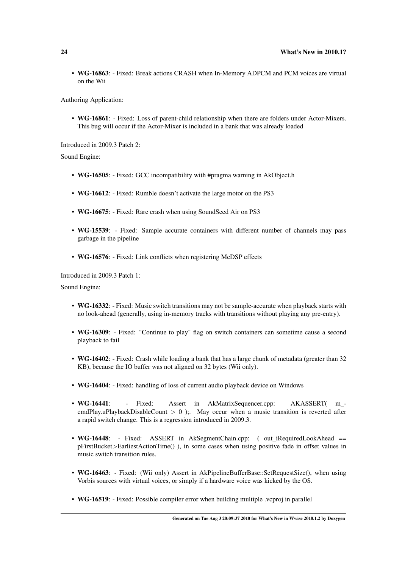• WG-16863: - Fixed: Break actions CRASH when In-Memory ADPCM and PCM voices are virtual on the Wii

Authoring Application:

• WG-16861: - Fixed: Loss of parent-child relationship when there are folders under Actor-Mixers. This bug will occur if the Actor-Mixer is included in a bank that was already loaded

Introduced in 2009.3 Patch 2:

Sound Engine:

- WG-16505: Fixed: GCC incompatibility with #pragma warning in AkObject.h
- WG-16612: Fixed: Rumble doesn't activate the large motor on the PS3
- WG-16675: Fixed: Rare crash when using SoundSeed Air on PS3
- WG-15539: Fixed: Sample accurate containers with different number of channels may pass garbage in the pipeline
- WG-16576: Fixed: Link conflicts when registering McDSP effects

Introduced in 2009.3 Patch 1:

Sound Engine:

- WG-16332: Fixed: Music switch transitions may not be sample-accurate when playback starts with no look-ahead (generally, using in-memory tracks with transitions without playing any pre-entry).
- WG-16309: Fixed: "Continue to play" flag on switch containers can sometime cause a second playback to fail
- WG-16402: Fixed: Crash while loading a bank that has a large chunk of metadata (greater than 32) KB), because the IO buffer was not aligned on 32 bytes (Wii only).
- WG-16404: Fixed: handling of loss of current audio playback device on Windows
- WG-16441: Fixed: Assert in AkMatrixSequencer.cpp: AKASSERT( m cmdPlay.uPlaybackDisableCount  $> 0$  );. May occur when a music transition is reverted after a rapid switch change. This is a regression introduced in 2009.3.
- WG-16448: Fixed: ASSERT in AkSegmentChain.cpp: (out\_iRequiredLookAhead == pFirstBucket>EarliestActionTime() ), in some cases when using positive fade in offset values in music switch transition rules.
- WG-16463: Fixed: (Wii only) Assert in AkPipelineBufferBase::SetRequestSize(), when using Vorbis sources with virtual voices, or simply if a hardware voice was kicked by the OS.
- WG-16519: Fixed: Possible compiler error when building multiple .vcproj in parallel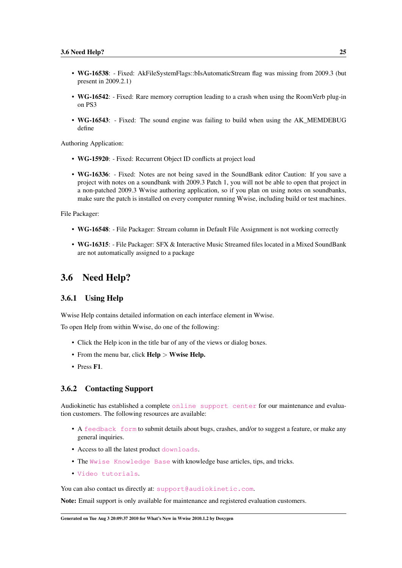- WG-16538: Fixed: AkFileSystemFlags::bIsAutomaticStream flag was missing from 2009.3 (but present in 2009.2.1)
- WG-16542: Fixed: Rare memory corruption leading to a crash when using the RoomVerb plug-in on PS3
- WG-16543: Fixed: The sound engine was failing to build when using the AK\_MEMDEBUG define

Authoring Application:

- WG-15920: Fixed: Recurrent Object ID conflicts at project load
- WG-16336: Fixed: Notes are not being saved in the SoundBank editor Caution: If you save a project with notes on a soundbank with 2009.3 Patch 1, you will not be able to open that project in a non-patched 2009.3 Wwise authoring application, so if you plan on using notes on soundbanks, make sure the patch is installed on every computer running Wwise, including build or test machines.

File Packager:

- WG-16548: File Packager: Stream column in Default File Assignment is not working correctly
- WG-16315: File Packager: SFX & Interactive Music Streamed files located in a Mixed SoundBank are not automatically assigned to a package

### <span id="page-28-0"></span>3.6 Need Help?

#### <span id="page-28-1"></span>3.6.1 Using Help

Wwise Help contains detailed information on each interface element in Wwise.

To open Help from within Wwise, do one of the following:

- Click the Help icon in the title bar of any of the views or dialog boxes.
- From the menu bar, click **Help** > Wwise **Help.**
- Press F1.

#### <span id="page-28-2"></span>3.6.2 Contacting Support

Audiokinetic has established a complete [online support center](http://www.audiokinetic.com/en/support/introduction) for our maintenance and evaluation customers. The following resources are available:

- A [feedback form](http://www.audiokinetic.com/en/support/feedback-form) to submit details about bugs, crashes, and/or to suggest a feature, or make any general inquiries.
- Access to all the latest product [downloads](http://www.audiokinetic.com/index.php?option=com_facileforms&amp;Itemid=143&amp;ff_contentid=49&amp;ff_form=39).
- The [Wwise Knowledge Base](http://kb.gowwise.com/) with knowledge base articles, tips, and tricks.
- [Video tutorials](http://www.audiokinetic.com/en/learning-center/videos).

You can also contact us directly at: [support@audiokinetic.com](mailto:support@audiokinetic.com).

Note: Email support is only available for maintenance and registered evaluation customers.